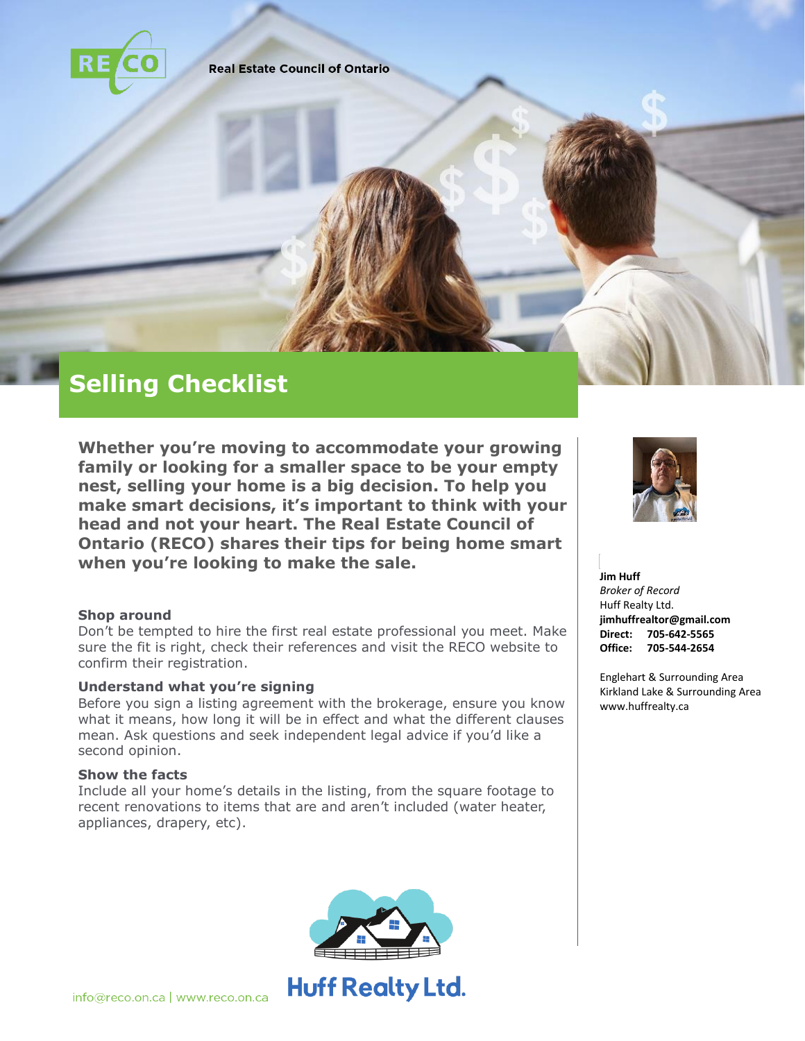

**Real Estate Council of Ontario** 

# **Selling Checklist**

**Whether you're moving to accommodate your growing family or looking for a smaller space to be your empty nest, selling your home is a big decision. To help you make smart decisions, it's important to think with your head and not your heart. The Real Estate Council of Ontario (RECO) shares their tips for being home smart when you're looking to make the sale.** 

## **Shop around**

Don't be tempted to hire the first real estate professional you meet. Make sure the fit is right, check their references and visit the RECO website to confirm their registration.

## **Understand what you're signing**

Before you sign a listing agreement with the brokerage, ensure you know what it means, how long it will be in effect and what the different clauses mean. Ask questions and seek independent legal advice if you'd like a second opinion.

## **Show the facts**

Include all your home's details in the listing, from the square footage to recent renovations to items that are and aren't included (water heater, appliances, drapery, etc).







#### **Jim Huff**

*Broker of Record* Huff Realty Ltd. **jimhuffrealtor@gmail.com Direct: 705-642-5565 Office: 705-544-2654**

Englehart & Surrounding Area Kirkland Lake & Surrounding Area www.huffrealty.ca